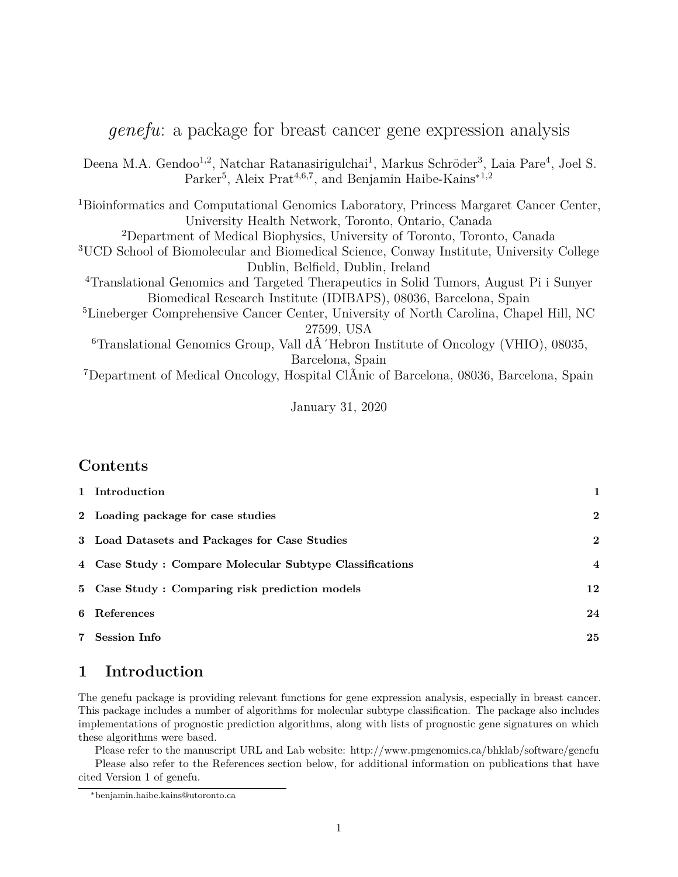|  |  |  | <i>genefu</i> : a package for breast cancer gene expression analysis |  |
|--|--|--|----------------------------------------------------------------------|--|
|  |  |  |                                                                      |  |

Deena M.A. Gendoo<sup>1,2</sup>, Natchar Ratanasirigulchai<sup>1</sup>, Markus Schröder<sup>3</sup>, Laia Pare<sup>4</sup>, Joel S. Parker<sup>5</sup>, Aleix Prat<sup>4,6,7</sup>, and Benjamin Haibe-Kains<sup>\*1,2</sup>

<sup>1</sup>Bioinformatics and Computational Genomics Laboratory, Princess Margaret Cancer Center, University Health Network, Toronto, Ontario, Canada <sup>2</sup>Department of Medical Biophysics, University of Toronto, Toronto, Canada <sup>3</sup>UCD School of Biomolecular and Biomedical Science, Conway Institute, University College Dublin, Belfield, Dublin, Ireland <sup>4</sup>Translational Genomics and Targeted Therapeutics in Solid Tumors, August Pi i Sunyer Biomedical Research Institute (IDIBAPS), 08036, Barcelona, Spain

<sup>5</sup>Lineberger Comprehensive Cancer Center, University of North Carolina, Chapel Hill, NC 27599, USA

 $6$ Translational Genomics Group, Vall d $\hat{A}$  Hebron Institute of Oncology (VHIO), 08035, Barcelona, Spain

<sup>7</sup>Department of Medical Oncology, Hospital ClÃnic of Barcelona, 08036, Barcelona, Spain

January 31, 2020

## **Contents**

| 1 Introduction                                          | 1                |
|---------------------------------------------------------|------------------|
| 2 Loading package for case studies                      | $\boldsymbol{2}$ |
| 3 Load Datasets and Packages for Case Studies           | $\boldsymbol{2}$ |
| 4 Case Study: Compare Molecular Subtype Classifications | $\overline{4}$   |
| 5 Case Study: Comparing risk prediction models          | 12               |
| 6 References                                            | 24               |
| 7 Session Info                                          | 25               |

# **1 Introduction**

The genefu package is providing relevant functions for gene expression analysis, especially in breast cancer. This package includes a number of algorithms for molecular subtype classification. The package also includes implementations of prognostic prediction algorithms, along with lists of prognostic gene signatures on which these algorithms were based.

Please refer to the manuscript URL and Lab website: http://www.pmgenomics.ca/bhklab/software/genefu

Please also refer to the References section below, for additional information on publications that have cited Version 1 of genefu.

<sup>∗</sup>benjamin.haibe.kains@utoronto.ca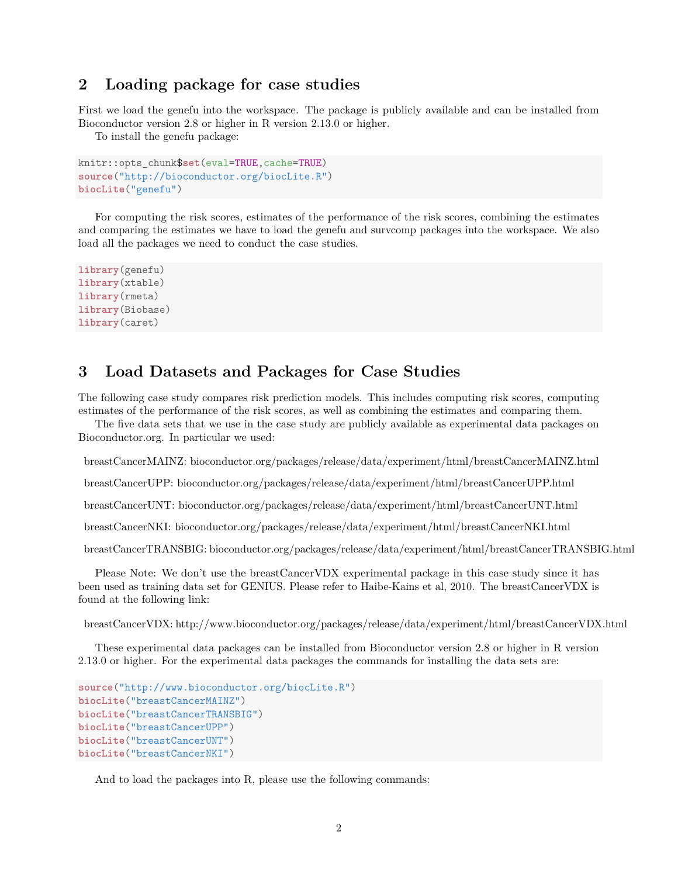## **2 Loading package for case studies**

First we load the genefu into the workspace. The package is publicly available and can be installed from Bioconductor version 2.8 or higher in R version 2.13.0 or higher.

To install the genefu package:

```
knitr::opts_chunk$set(eval=TRUE,cache=TRUE)
source("http://bioconductor.org/biocLite.R")
biocLite("genefu")
```
For computing the risk scores, estimates of the performance of the risk scores, combining the estimates and comparing the estimates we have to load the genefu and survcomp packages into the workspace. We also load all the packages we need to conduct the case studies.

```
library(genefu)
library(xtable)
library(rmeta)
library(Biobase)
library(caret)
```
## **3 Load Datasets and Packages for Case Studies**

The following case study compares risk prediction models. This includes computing risk scores, computing estimates of the performance of the risk scores, as well as combining the estimates and comparing them.

The five data sets that we use in the case study are publicly available as experimental data packages on Bioconductor.org. In particular we used:

breastCancerMAINZ: bioconductor.org/packages/release/data/experiment/html/breastCancerMAINZ.html

breastCancerUPP: bioconductor.org/packages/release/data/experiment/html/breastCancerUPP.html

breastCancerUNT: bioconductor.org/packages/release/data/experiment/html/breastCancerUNT.html

breastCancerNKI: bioconductor.org/packages/release/data/experiment/html/breastCancerNKI.html

breastCancerTRANSBIG: bioconductor.org/packages/release/data/experiment/html/breastCancerTRANSBIG.html

Please Note: We don't use the breastCancerVDX experimental package in this case study since it has been used as training data set for GENIUS. Please refer to Haibe-Kains et al, 2010. The breastCancerVDX is found at the following link:

breastCancerVDX: http://www.bioconductor.org/packages/release/data/experiment/html/breastCancerVDX.html

These experimental data packages can be installed from Bioconductor version 2.8 or higher in R version 2.13.0 or higher. For the experimental data packages the commands for installing the data sets are:

```
source("http://www.bioconductor.org/biocLite.R")
biocLite("breastCancerMAINZ")
biocLite("breastCancerTRANSBIG")
biocLite("breastCancerUPP")
biocLite("breastCancerUNT")
biocLite("breastCancerNKI")
```
And to load the packages into R, please use the following commands: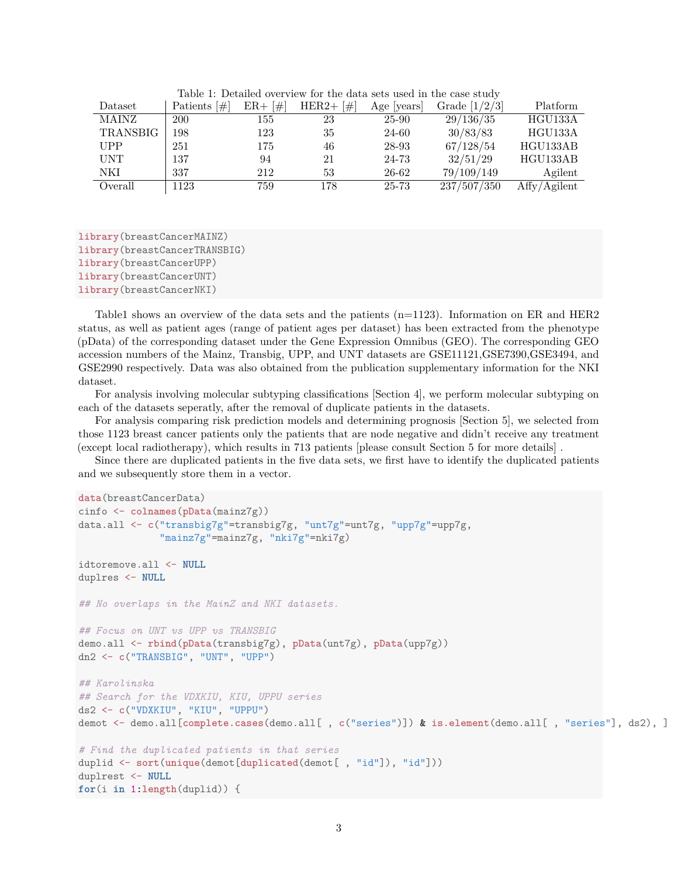| Dataset         | Patients $[\#]$ | $ER + \lceil \# \rceil$ | $HER2 + \lceil # \rceil$ | Age  years | Grade $[1/2/3]$ | Platform     |
|-----------------|-----------------|-------------------------|--------------------------|------------|-----------------|--------------|
| <b>MAINZ</b>    | 200             | 155                     | 23                       | 25-90      | 29/136/35       | HGU133A      |
| <b>TRANSBIG</b> | 198             | 123                     | 35                       | 24-60      | 30/83/83        | HGU133A      |
| <b>UPP</b>      | 251             | 175                     | 46                       | 28-93      | 67/128/54       | HGU133AB     |
| <b>UNT</b>      | 137             | 94                      | 21                       | 24-73      | 32/51/29        | HGU133AB     |
| NKI             | 337             | 212                     | 53                       | 26-62      | 79/109/149      | Agilent      |
| Overall         | 1123            | 759                     | 178                      | 25-73      | 237/507/350     | Affy/Agilent |

Table 1: Detailed overview for the data sets used in the case study

**library**(breastCancerMAINZ) **library**(breastCancerTRANSBIG) **library**(breastCancerUPP) **library**(breastCancerUNT) **library**(breastCancerNKI)

Table1 shows an overview of the data sets and the patients (n=1123). Information on ER and HER2 status, as well as patient ages (range of patient ages per dataset) has been extracted from the phenotype (pData) of the corresponding dataset under the Gene Expression Omnibus (GEO). The corresponding GEO accession numbers of the Mainz, Transbig, UPP, and UNT datasets are GSE11121,GSE7390,GSE3494, and GSE2990 respectively. Data was also obtained from the publication supplementary information for the NKI dataset.

For analysis involving molecular subtyping classifications [Section 4], we perform molecular subtyping on each of the datasets seperatly, after the removal of duplicate patients in the datasets.

For analysis comparing risk prediction models and determining prognosis [Section 5], we selected from those 1123 breast cancer patients only the patients that are node negative and didn't receive any treatment (except local radiotherapy), which results in 713 patients [please consult Section 5 for more details] .

Since there are duplicated patients in the five data sets, we first have to identify the duplicated patients and we subsequently store them in a vector.

```
data(breastCancerData)
cinfo <- colnames(pData(mainz7g))
data.all <- c("transbig7g"=transbig7g, "unt7g"=unt7g, "upp7g"=upp7g,
              "mainz7g"=mainz7g, "nki7g"=nki7g)
idtoremove.all <- NULL
duplres <- NULL
## No overlaps in the MainZ and NKI datasets.
## Focus on UNT vs UPP vs TRANSBIG
demo.all <- rbind(pData(transbig7g), pData(unt7g), pData(upp7g))
dn2 <- c("TRANSBIG", "UNT", "UPP")
## Karolinska
## Search for the VDXKIU, KIU, UPPU series
ds2 <- c("VDXKIU", "KIU", "UPPU")
demot <- demo.all[complete.cases(demo.all[ , c("series")]) & is.element(demo.all[ , "series"], ds2), ]
# Find the duplicated patients in that series
duplid <- sort(unique(demot[duplicated(demot[ , "id"]), "id"]))
duplrest <- NULL
for(i in 1:length(duplid)) {
```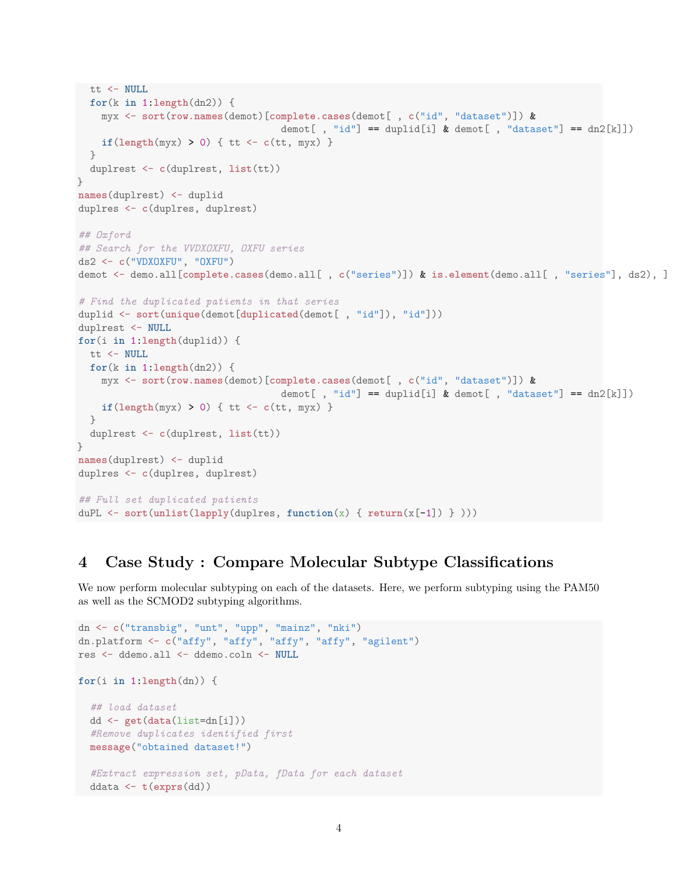```
tt <- NULL
  for(k in 1:length(dn2)) {
    myx <- sort(row.names(demot)[complete.cases(demot[ , c("id", "dataset")]) &
                                   demot[, "id"] == duplid[i] & demot[, "dataset"] == dn2[k]])
    if(length(myx) > 0) { tt \leftarrow c(tt, myx) }
  }
  duplrest <- c(duplrest, list(tt))
}
names(duplrest) <- duplid
duplres <- c(duplres, duplrest)
## Oxford
## Search for the VVDXOXFU, OXFU series
ds2 <- c("VDXOXFU", "OXFU")
demot <- demo.all[complete.cases(demo.all[ , c("series")]) & is.element(demo.all[ , "series"], ds2), ]
# Find the duplicated patients in that series
duplid <- sort(unique(demot[duplicated(demot[ , "id"]), "id"]))
duplrest <- NULL
for(i in 1:length(duplid)) {
 tt <- NULL
  for(k in 1:length(dn2)) {
    myx <- sort(row.names(demot)[complete.cases(demot[ , c("id", "dataset")]) &
                                   demot[, "id"] == duplid[i] & demot[, "dataset"] == dn2[k]])
    if(length(myx) > 0) { t t < -c(tt, myx) }}
  duplrest <- c(duplrest, list(tt))
}
names(duplrest) <- duplid
duplres <- c(duplres, duplrest)
## Full set duplicated patients
duPL <- sort(unlist(lapply(duplres, function(x) { return(x[-1]) } )))
```
# **4 Case Study : Compare Molecular Subtype Classifications**

We now perform molecular subtyping on each of the datasets. Here, we perform subtyping using the PAM50 as well as the SCMOD2 subtyping algorithms.

```
dn <- c("transbig", "unt", "upp", "mainz", "nki")
dn.platform <- c("affy", "affy", "affy", "affy", "agilent")
res <- ddemo.all <- ddemo.coln <- NULL
for(i in 1:length(dn)) {
  ## load dataset
 dd <- get(data(list=dn[i]))
  #Remove duplicates identified first
  message("obtained dataset!")
  #Extract expression set, pData, fData for each dataset
  ddata <- t(exprs(dd))
```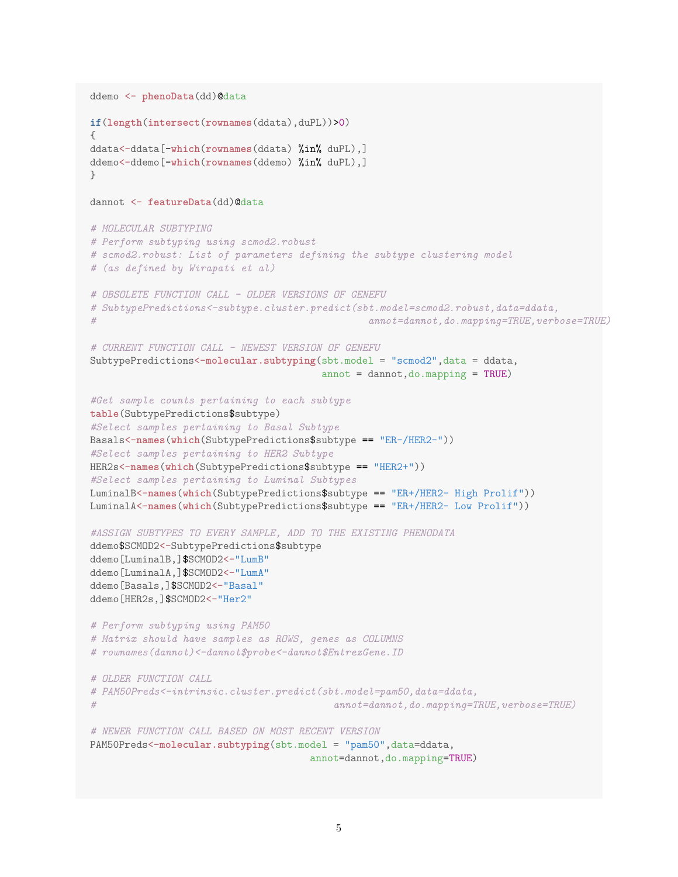```
ddemo <- phenoData(dd)@data
if(length(intersect(rownames(ddata),duPL))>0)
{
ddata<-ddata[-which(rownames(ddata) %in% duPL),]
ddemo<-ddemo[-which(rownames(ddemo) %in% duPL),]
\lambdadannot <- featureData(dd)@data
# MOLECULAR SUBTYPING
# Perform subtyping using scmod2.robust
# scmod2.robust: List of parameters defining the subtype clustering model
# (as defined by Wirapati et al)
# OBSOLETE FUNCTION CALL - OLDER VERSIONS OF GENEFU
# SubtypePredictions<-subtype.cluster.predict(sbt.model=scmod2.robust,data=ddata,
# annot=dannot,do.mapping=TRUE,verbose=TRUE)
# CURRENT FUNCTION CALL - NEWEST VERSION OF GENEFU
SubtypePredictions<-molecular.subtyping(sbt.model = "scmod2",data = ddata,
                                      annot = dannot, do.mapping = TRUE)#Get sample counts pertaining to each subtype
table(SubtypePredictions$subtype)
#Select samples pertaining to Basal Subtype
Basals<-names(which(SubtypePredictions$subtype == "ER-/HER2-"))
#Select samples pertaining to HER2 Subtype
HER2s<-names(which(SubtypePredictions$subtype == "HER2+"))
#Select samples pertaining to Luminal Subtypes
LuminalB<-names(which(SubtypePredictions$subtype == "ER+/HER2- High Prolif"))
LuminalA<-names(which(SubtypePredictions$subtype == "ER+/HER2- Low Prolif"))
#ASSIGN SUBTYPES TO EVERY SAMPLE, ADD TO THE EXISTING PHENODATA
ddemo$SCMOD2<-SubtypePredictions$subtype
ddemo[LuminalB,]$SCMOD2<-"LumB"
ddemo[LuminalA,]$SCMOD2<-"LumA"
ddemo[Basals,]$SCMOD2<-"Basal"
ddemo[HER2s,]$SCMOD2<-"Her2"
# Perform subtyping using PAM50
# Matrix should have samples as ROWS, genes as COLUMNS
# rownames(dannot)<-dannot$probe<-dannot$EntrezGene.ID
# OLDER FUNCTION CALL
# PAM50Preds<-intrinsic.cluster.predict(sbt.model=pam50,data=ddata,
# annot=dannot,do.mapping=TRUE,verbose=TRUE)
# NEWER FUNCTION CALL BASED ON MOST RECENT VERSION
PAM50Preds<-molecular.subtyping(sbt.model = "pam50",data=ddata,
                                    annot=dannot,do.mapping=TRUE)
```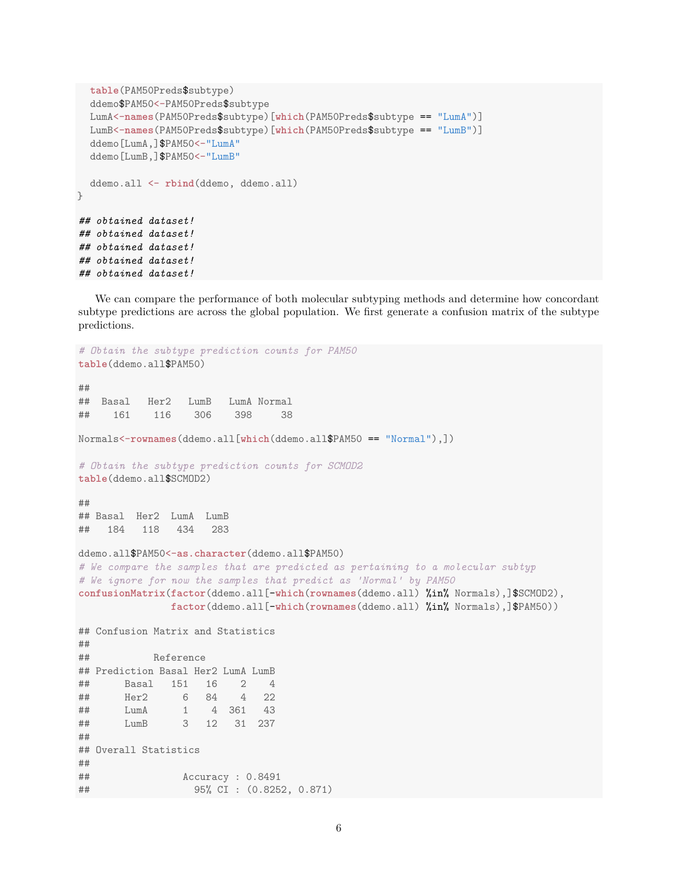```
table(PAM50Preds$subtype)
  ddemo$PAM50<-PAM50Preds$subtype
  LumA<-names(PAM50Preds$subtype)[which(PAM50Preds$subtype == "LumA")]
  LumB<-names(PAM50Preds$subtype)[which(PAM50Preds$subtype == "LumB")]
  ddemo[LumA,]$PAM50<-"LumA"
  ddemo[LumB,]$PAM50<-"LumB"
  ddemo.all <- rbind(ddemo, ddemo.all)
}
## obtained dataset!
## obtained dataset!
## obtained dataset!
## obtained dataset!
## obtained dataset!
```
We can compare the performance of both molecular subtyping methods and determine how concordant subtype predictions are across the global population. We first generate a confusion matrix of the subtype predictions.

```
# Obtain the subtype prediction counts for PAM50
table(ddemo.all$PAM50)
##
## Basal Her2 LumB LumA Normal
## 161 116 306 398 38
Normals<-rownames(ddemo.all[which(ddemo.all$PAM50 == "Normal"),])
# Obtain the subtype prediction counts for SCMOD2
table(ddemo.all$SCMOD2)
##
## Basal Her2 LumA LumB
## 184 118 434 283
ddemo.all$PAM50<-as.character(ddemo.all$PAM50)
# We compare the samples that are predicted as pertaining to a molecular subtyp
# We ignore for now the samples that predict as 'Normal' by PAM50
confusionMatrix(factor(ddemo.all[-which(rownames(ddemo.all) %in% Normals),]$SCMOD2),
              factor(ddemo.all[-which(rownames(ddemo.all) %in% Normals),]$PAM50))
## Confusion Matrix and Statistics
##
## Reference
## Prediction Basal Her2 LumA LumB
## Basal 151 16 2 4
## Her2 6 84 4 22
## LumA 1 4 361 43
## LumB 3 12 31 237
##
## Overall Statistics
##
## Accuracy : 0.8491
## 95% CI : (0.8252, 0.871)
```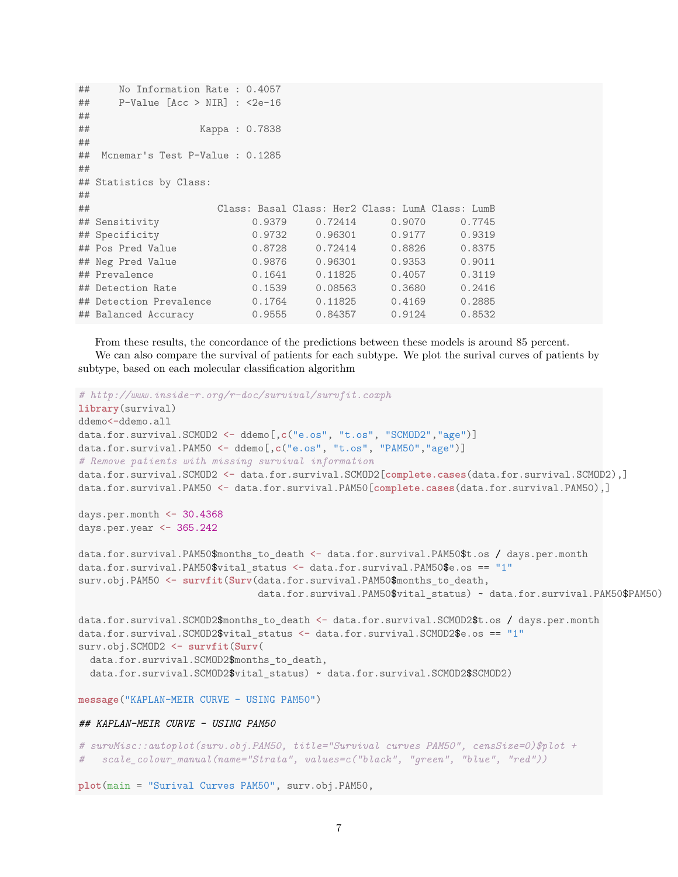```
## No Information Rate : 0.4057
## P-Value [Acc > NIR] : <2e-16
##
## Kappa : 0.7838
##
## Mcnemar's Test P-Value : 0.1285
##
## Statistics by Class:
##
## Class: Basal Class: Her2 Class: LumA Class: LumB
## Sensitivity 0.9379 0.72414 0.9070 0.7745
## Specificity 0.9732 0.96301 0.9177 0.9319
## Pos Pred Value 0.8728 0.72414 0.8826 0.8375
## Neg Pred Value 0.9876 0.96301 0.9353 0.9011
## Prevalence 0.1641 0.11825 0.4057 0.3119
## Detection Rate 0.1539 0.08563 0.3680 0.2416
## Detection Prevalence 0.1764 0.11825 0.4169 0.2885
## Balanced Accuracy 0.9555 0.84357 0.9124 0.8532
```
From these results, the concordance of the predictions between these models is around 85 percent. We can also compare the survival of patients for each subtype. We plot the surival curves of patients by subtype, based on each molecular classification algorithm

```
# http://www.inside-r.org/r-doc/survival/survfit.coxph
library(survival)
ddemo<-ddemo.all
data.for.survival.SCMOD2 <- ddemo[,c("e.os", "t.os", "SCMOD2","age")]
data.for.survival.PAM50 <- ddemo[,c("e.os", "t.os", "PAM50","age")]
# Remove patients with missing survival information
data.for.survival.SCMOD2 <- data.for.survival.SCMOD2[complete.cases(data.for.survival.SCMOD2),]
data.for.survival.PAM50 <- data.for.survival.PAM50[complete.cases(data.for.survival.PAM50),]
days.per.month <- 30.4368
days.per.year <- 365.242
data.for.survival.PAM50$months_to_death <- data.for.survival.PAM50$t.os / days.per.month
data.for.survival.PAM50$vital_status <- data.for.survival.PAM50$e.os == "1"
surv.obj.PAM50 <- survfit(Surv(data.for.survival.PAM50$months_to_death,
                               data.for.survival.PAM50$vital_status) ~ data.for.survival.PAM50$PAM50)
data.for.survival.SCMOD2$months_to_death <- data.for.survival.SCMOD2$t.os / days.per.month
data.for.survival.SCMOD2$vital_status <- data.for.survival.SCMOD2$e.os == "1"
surv.obj.SCMOD2 <- survfit(Surv(
  data.for.survival.SCMOD2$months_to_death,
  data.for.survival.SCMOD2$vital_status) ~ data.for.survival.SCMOD2$SCMOD2)
message("KAPLAN-MEIR CURVE - USING PAM50")
## KAPLAN-MEIR CURVE - USING PAM50
# survMisc::autoplot(surv.obj.PAM50, title="Survival curves PAM50", censSize=0)$plot +
   # scale_colour_manual(name="Strata", values=c("black", "green", "blue", "red"))
plot(main = "Surival Curves PAM50", surv.obj.PAM50,
```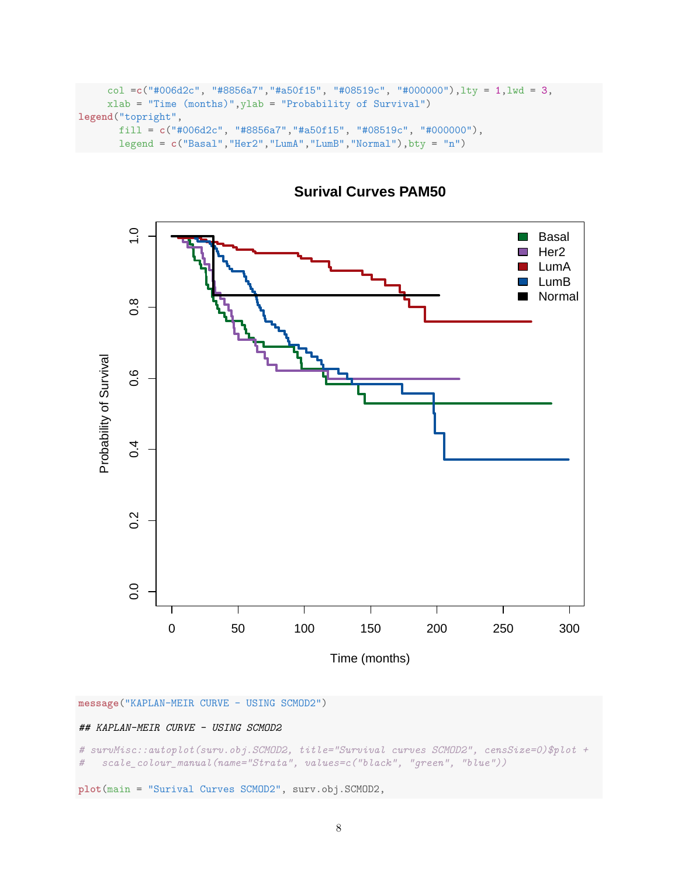```
col =c("#006d2c", "#8856a7","#a50f15", "#08519c", "#000000"),lty = 1,lwd = 3,
     xlab = "Time (months)",ylab = "Probability of Survival")
legend("topright",
      fill = c("#006d2c", "#8856a7","#a50f15", "#08519c", "#000000"),
       legend = c("Basal","Her2","LumA","LumB","Normal"),bty = "n")
```


**Surival Curves PAM50**

**message**("KAPLAN-MEIR CURVE - USING SCMOD2")

### *## KAPLAN-MEIR CURVE - USING SCMOD2*

*# survMisc::autoplot(surv.obj.SCMOD2, title="Survival curves SCMOD2", censSize=0)\$plot + # scale\_colour\_manual(name="Strata", values=c("black", "green", "blue"))*

**plot**(main = "Surival Curves SCMOD2", surv.obj.SCMOD2,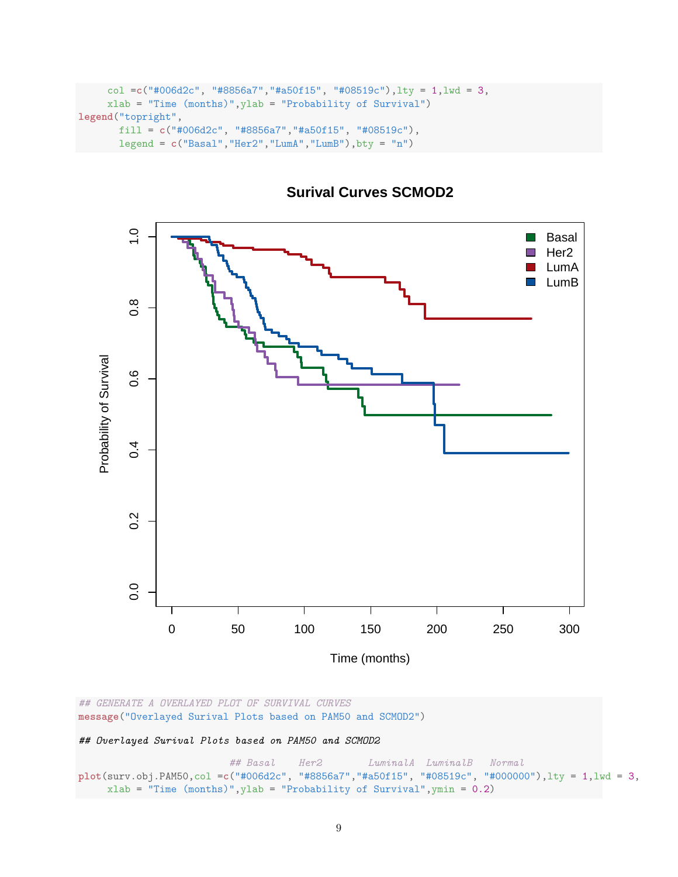```
col =c("#006d2c", "#8856a7","#a50f15", "#08519c"),lty = 1,lwd = 3,
     xlab = "Time (months)",ylab = "Probability of Survival")
legend("topright",
      fill = c("#006d2c", "#8856a7","#a50f15", "#08519c"),
      legend = c("Basal","Her2","LumA","LumB"),bty = "n")
```


# **Surival Curves SCMOD2**

*## GENERATE A OVERLAYED PLOT OF SURVIVAL CURVES* **message**("Overlayed Surival Plots based on PAM50 and SCMOD2")

*## Overlayed Surival Plots based on PAM50 and SCMOD2*

*## Basal Her2 LuminalA LuminalB Normal* **plot**(surv.obj.PAM50,col =**c**("#006d2c", "#8856a7","#a50f15", "#08519c", "#000000"),lty = 1,lwd = 3,  $x$ lab = "Time (months)", ylab = "Probability of Survival", ymin = 0.2)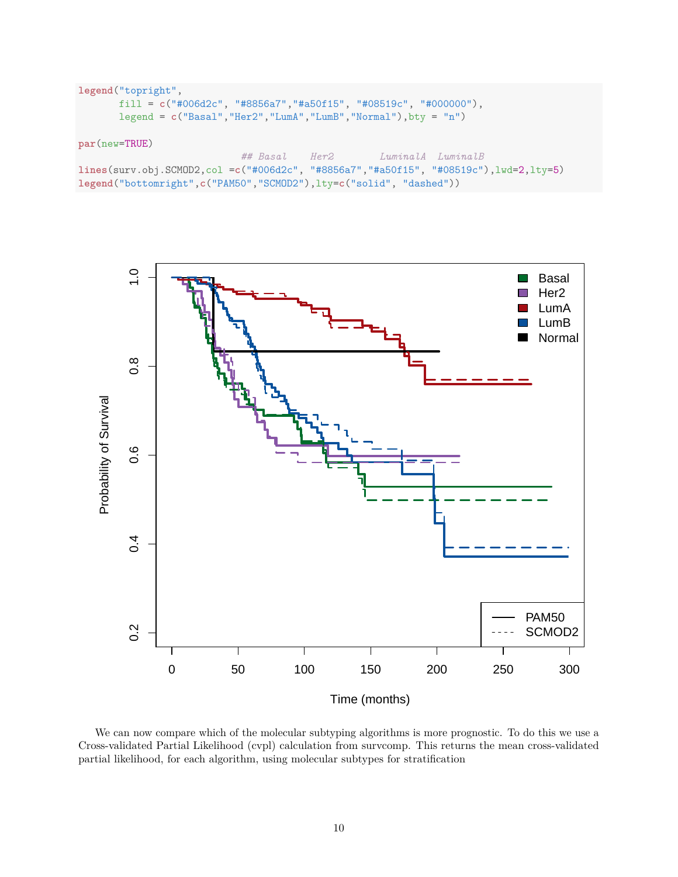```
legend("topright",
       fill = c("#006d2c", "#8856a7","#a50f15", "#08519c", "#000000"),
      legend = c("Basal","Her2","LumA","LumB","Normal"),bty = "n")
par(new=TRUE)
                           ## Basal Her2 LuminalA LuminalB
lines(surv.obj.SCMOD2,col =c("#006d2c", "#8856a7","#a50f15", "#08519c"),lwd=2,lty=5)
legend("bottomright",c("PAM50","SCMOD2"),lty=c("solid", "dashed"))
```


We can now compare which of the molecular subtyping algorithms is more prognostic. To do this we use a Cross-validated Partial Likelihood (cvpl) calculation from survcomp. This returns the mean cross-validated partial likelihood, for each algorithm, using molecular subtypes for stratification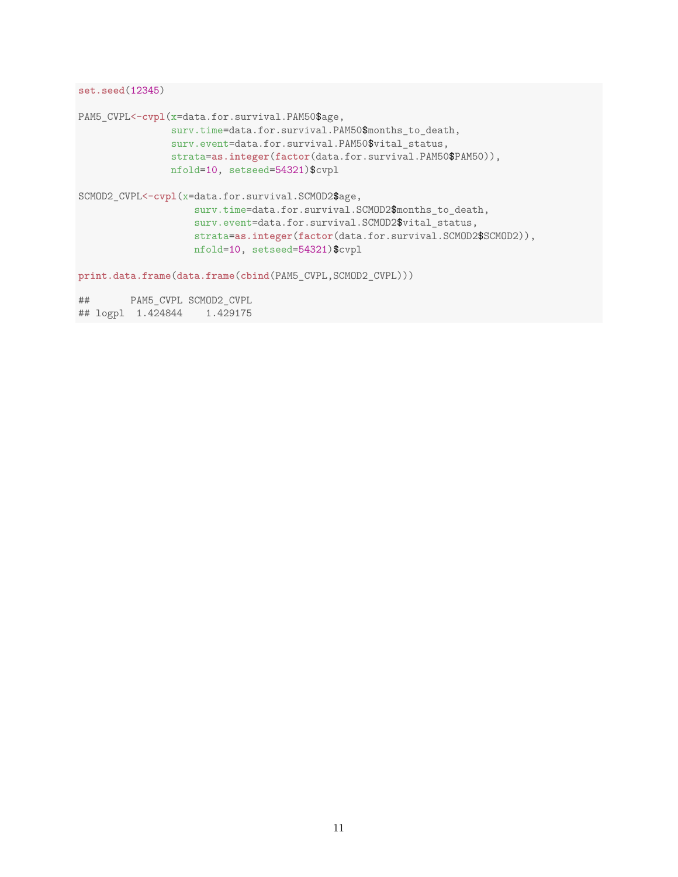```
set.seed(12345)
```

```
PAM5 CVPL<-cvpl(x=data.for.survival.PAM50$age,
               surv.time=data.for.survival.PAM50$months_to_death,
               surv.event=data.for.survival.PAM50$vital_status,
               strata=as.integer(factor(data.for.survival.PAM50$PAM50)),
               nfold=10, setseed=54321)$cvpl
SCMOD2_CVPL<-cvpl(x=data.for.survival.SCMOD2$age,
                   surv.time=data.for.survival.SCMOD2$months_to_death,
                   surv.event=data.for.survival.SCMOD2$vital_status,
                   strata=as.integer(factor(data.for.survival.SCMOD2$SCMOD2)),
                   nfold=10, setseed=54321)$cvpl
print.data.frame(data.frame(cbind(PAM5_CVPL,SCMOD2_CVPL)))
## PAM5_CVPL SCMOD2_CVPL
## logpl 1.424844 1.429175
```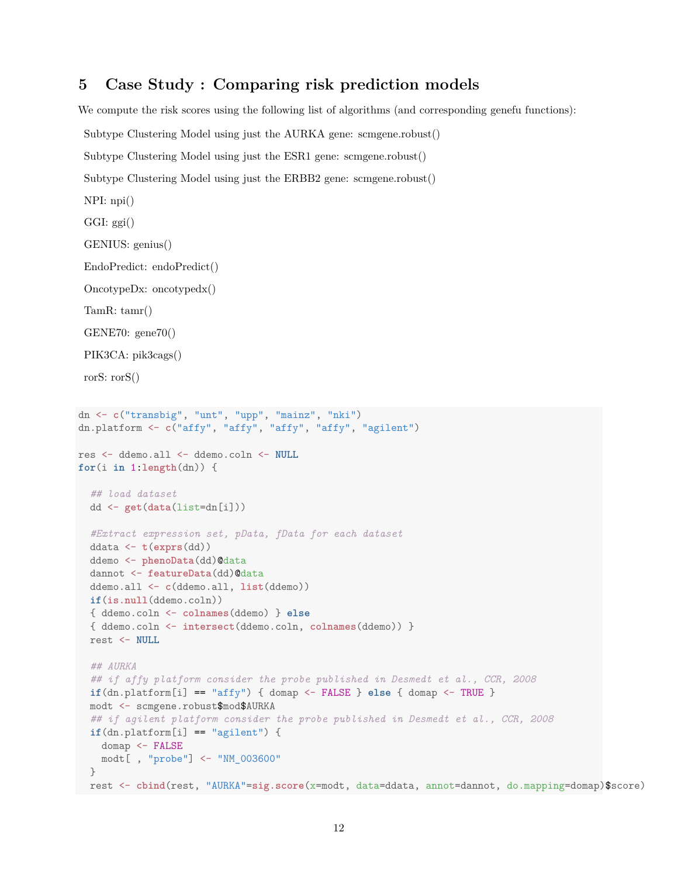## **5 Case Study : Comparing risk prediction models**

We compute the risk scores using the following list of algorithms (and corresponding genefu functions):

```
Subtype Clustering Model using just the AURKA gene: scmgene.robust()
 Subtype Clustering Model using just the ESR1 gene: scmgene.robust()
 Subtype Clustering Model using just the ERBB2 gene: scmgene.robust()
 NPI: npi()
 GGI: ggi()
 GENIUS: genius()
 EndoPredict: endoPredict()
 OncotypeDx: oncotypedx()
 TamR: tamr()
 GENE70: gene70()
 PIK3CA: pik3cags()
 rorS: rorS()
dn <- c("transbig", "unt", "upp", "mainz", "nki")
dn.platform <- c("affy", "affy", "affy", "affy", "agilent")
res <- ddemo.all <- ddemo.coln <- NULL
for(i in 1:length(dn)) {
  ## load dataset
 dd <- get(data(list=dn[i]))
  #Extract expression set, pData, fData for each dataset
 ddata <- t(exprs(dd))
  ddemo <- phenoData(dd)@data
  dannot <- featureData(dd)@data
  ddemo.all <- c(ddemo.all, list(ddemo))
  if(is.null(ddemo.coln))
  { ddemo.coln <- colnames(ddemo) } else
  { ddemo.coln <- intersect(ddemo.coln, colnames(ddemo)) }
  rest <- NULL
  ## AURKA
  ## if affy platform consider the probe published in Desmedt et al., CCR, 2008
  if(dn.platform[i] == "affy") { domap <- FALSE } else { domap <- TRUE }modt <- scmgene.robust$mod$AURKA
  ## if agilent platform consider the probe published in Desmedt et al., CCR, 2008
  if(dn.plot[1] == "agilent") {
   domap <- FALSE
   modt[ , "probe"] <- "NM_003600"
  }
 rest <- cbind(rest, "AURKA"=sig.score(x=modt, data=ddata, annot=dannot, do.mapping=domap)$score)
```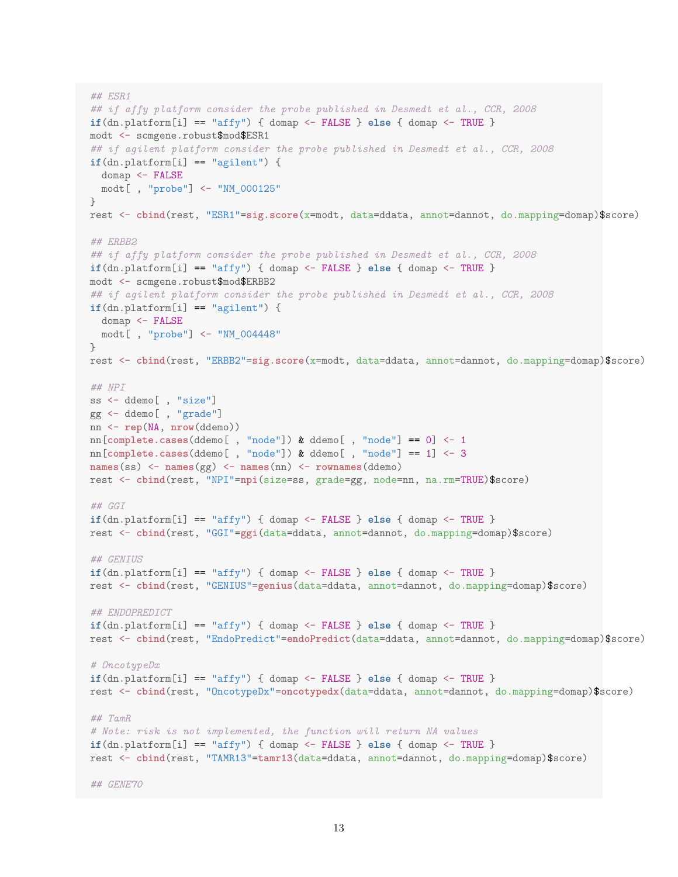```
## ESR1
## if affy platform consider the probe published in Desmedt et al., CCR, 2008
if(dn.platform[i] == "affy") { domap <- FALSE } else { domap <- TRUE }
modt <- scmgene.robust$mod$ESR1
## if agilent platform consider the probe published in Desmedt et al., CCR, 2008
if(dn.platform[i] == "agilent") {
  domap <- FALSE
 modt[ , "probe"] <- "NM_000125"
}
rest <- cbind(rest, "ESR1"=sig.score(x=modt, data=ddata, annot=dannot, do.mapping=domap)$score)
## ERBB2
## if affy platform consider the probe published in Desmedt et al., CCR, 2008
if(dn.platform[i] == "affy") { domap <- FALSE } else { domap <- TRUE }
modt <- scmgene.robust$mod$ERBB2
## if agilent platform consider the probe published in Desmedt et al., CCR, 2008
if(dn.plot[1] == "agilent") {
  domap <- FALSE
 modt[ , "probe"] <- "NM_004448"
}
rest <- cbind(rest, "ERBB2"=sig.score(x=modt, data=ddata, annot=dannot, do.mapping=domap)$score)
## NPI
ss <- ddemo[ , "size"]
gg <- ddemo[ , "grade"]
nn <- rep(NA, nrow(ddemo))
nn[complete.cases(ddemo[, "node"]) k ddemo[, "node"] == 0] <- 1
nn[complete.cases(ddemo[ , "node"]) & ddemo[ , "node"] == 1] <- 3
names(ss) <- names(gg) <- names(nn) <- rownames(ddemo)
rest <- cbind(rest, "NPI"=npi(size=ss, grade=gg, node=nn, na.rm=TRUE)$score)
## GGI
if(dn.platform[i] == "affy") { domap <- FALSE } else { domap <- TRUE }
rest <- cbind(rest, "GGI"=ggi(data=ddata, annot=dannot, do.mapping=domap)$score)
## GENIUS
if(dn.platform[i] == "affy") { domap <- FALSE } else { domap <- TRUE }
rest <- cbind(rest, "GENIUS"=genius(data=ddata, annot=dannot, do.mapping=domap)$score)
## ENDOPREDICT
if(dn.platform[i] == "affy") { domap <- FALSE } else { domap <- TRUE }rest <- cbind(rest, "EndoPredict"=endoPredict(data=ddata, annot=dannot, do.mapping=domap)$score)
# OncotypeDx
if(dn.platform[i] == "affy") { domap <- FALSE } else { domap <- TRUE }
rest <- cbind(rest, "OncotypeDx"=oncotypedx(data=ddata, annot=dannot, do.mapping=domap)$score)
## TamR
# Note: risk is not implemented, the function will return NA values
if(dn.platform[i] == "affy") { domap <- FALSE } else { domap <- TRUE }rest <- cbind(rest, "TAMR13"=tamr13(data=ddata, annot=dannot, do.mapping=domap)$score)
## GENE70
```

```
13
```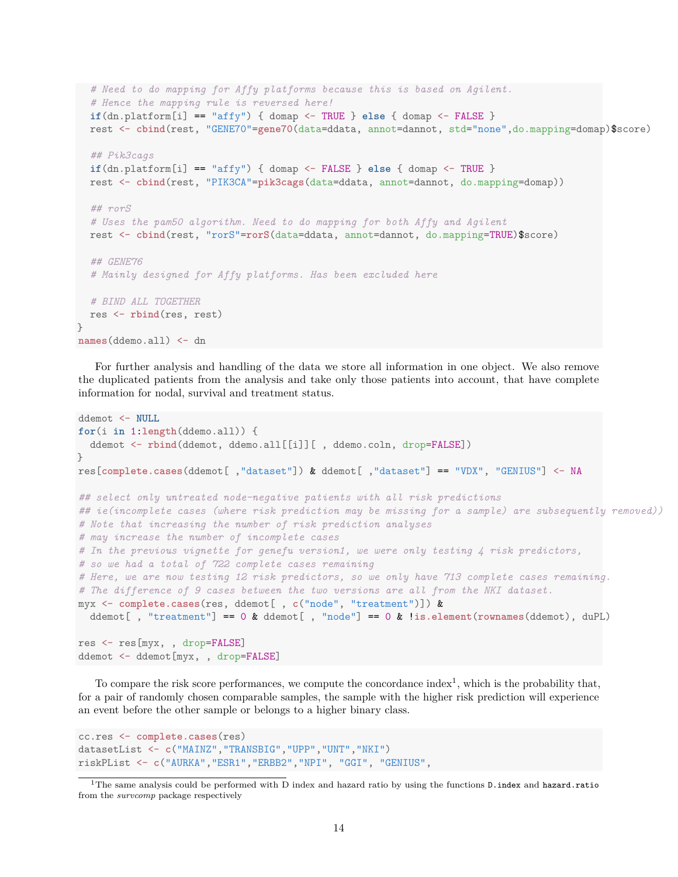```
# Need to do mapping for Affy platforms because this is based on Agilent.
  # Hence the mapping rule is reversed here!
  if(dn.platform[i] == "affy") { domap <- TRUE } else { domap <- FALSE }
  rest <- cbind(rest, "GENE70"=gene70(data=ddata, annot=dannot, std="none",do.mapping=domap)$score)
  ## Pik3cags
  if(dn.platform[i] == "affy") { domap <- FALSE } else { domap <- TRUE }
  rest <- cbind(rest, "PIK3CA"=pik3cags(data=ddata, annot=dannot, do.mapping=domap))
  ## rorS
  # Uses the pam50 algorithm. Need to do mapping for both Affy and Agilent
  rest <- cbind(rest, "rorS"=rorS(data=ddata, annot=dannot, do.mapping=TRUE)$score)
  ## GENE76
  # Mainly designed for Affy platforms. Has been excluded here
  # BIND ALL TOGETHER
 res <- rbind(res, rest)
names(ddemo.all) <- dn
```
For further analysis and handling of the data we store all information in one object. We also remove the duplicated patients from the analysis and take only those patients into account, that have complete information for nodal, survival and treatment status.

```
ddemot <- NULL
for(i in 1:length(ddemo.all)) {
  ddemot <- rbind(ddemot, ddemo.all[[i]][ , ddemo.coln, drop=FALSE])
}
res[complete.cases(ddemot[ ,"dataset"]) & ddemot[ ,"dataset"] == "VDX", "GENIUS"] <- NA
## select only untreated node-negative patients with all risk predictions
## ie(incomplete cases (where risk prediction may be missing for a sample) are subsequently removed))
# Note that increasing the number of risk prediction analyses
# may increase the number of incomplete cases
# In the previous vignette for genefu version1, we were only testing 4 risk predictors,
# so we had a total of 722 complete cases remaining
# Here, we are now testing 12 risk predictors, so we only have 713 complete cases remaining.
# The difference of 9 cases between the two versions are all from the NKI dataset.
myx <- complete.cases(res, ddemot[ , c("node", "treatment")]) &
 ddemot[ , "treatment"] == 0 & ddemot[ , "node"] == 0 & !is.element(rownames(ddemot), duPL)
res <- res[myx, , drop=FALSE]
ddemot <- ddemot[myx, , drop=FALSE]
```
To compare the risk score performances, we compute the concordance index<sup>1</sup>, which is the probability that, for a pair of randomly chosen comparable samples, the sample with the higher risk prediction will experience an event before the other sample or belongs to a higher binary class.

```
cc.res <- complete.cases(res)
datasetList <- c("MAINZ","TRANSBIG","UPP","UNT","NKI")
riskPList <- c("AURKA","ESR1","ERBB2","NPI", "GGI", "GENIUS",
```
}

<sup>1</sup>The same analysis could be performed with D index and hazard ratio by using the functions D.index and hazard.ratio from the *survcomp* package respectively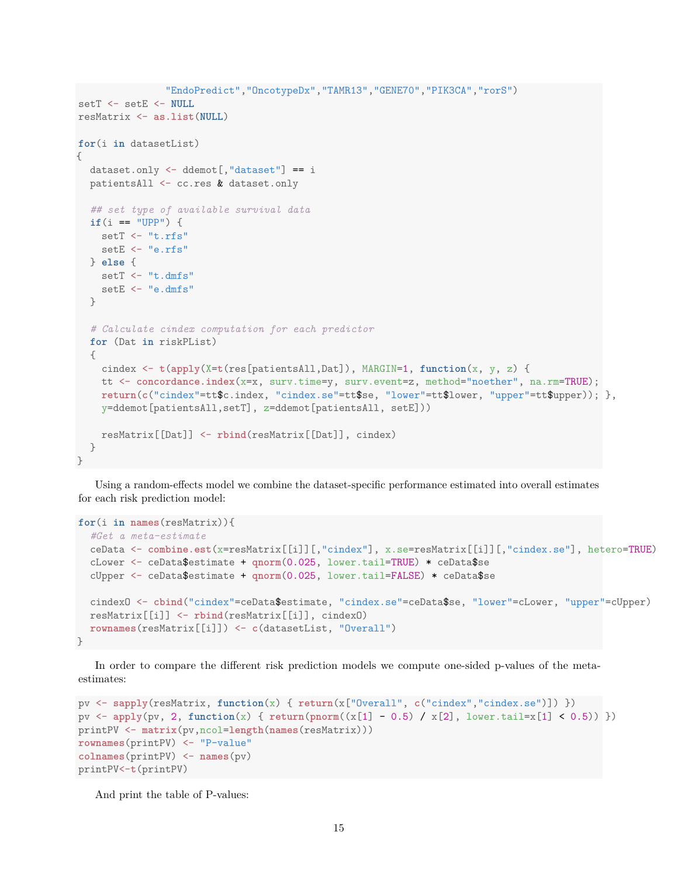```
"EndoPredict","OncotypeDx","TAMR13","GENE70","PIK3CA","rorS")
setT <- setE <- NULL
resMatrix <- as.list(NULL)
for(i in datasetList)
{
  dataset.only <- ddemot[,"dataset"] == i
  patientsAll <- cc.res & dataset.only
  ## set type of available survival data
  if(i == "UPP") {
    setT <- "t.rfs"
    setE <- "e.rfs"
  } else {
    setT <- "t.dmfs"
    setE <- "e.dmfs"
  }
  # Calculate cindex computation for each predictor
  for (Dat in riskPList)
  {
    cindex <- t(apply(X=t(res[patientsAll,Dat]), MARGIN=1, function(x, y, z) {
    tt <- concordance.index(x=x, surv.time=y, surv.event=z, method="noether", na.rm=TRUE);
    return(c("cindex"=tt$c.index, "cindex.se"=tt$se, "lower"=tt$lower, "upper"=tt$upper)); },
    y=ddemot[patientsAll,setT], z=ddemot[patientsAll, setE]))
    resMatrix[[Dat]] <- rbind(resMatrix[[Dat]], cindex)
  }
```
Using a random-effects model we combine the dataset-specific performance estimated into overall estimates for each risk prediction model:

```
for(i in names(resMatrix)){
  #Get a meta-estimate
  ceData <- combine.est(x=resMatrix[[i]][,"cindex"], x.se=resMatrix[[i]][,"cindex.se"], hetero=TRUE)
  cLower <- ceData$estimate + qnorm(0.025, lower.tail=TRUE) * ceData$se
  cUpper <- ceData$estimate + qnorm(0.025, lower.tail=FALSE) * ceData$se
  cindexO <- cbind("cindex"=ceData$estimate, "cindex.se"=ceData$se, "lower"=cLower, "upper"=cUpper)
  resMatrix[[i]] <- rbind(resMatrix[[i]], cindexO)
  rownames(resMatrix[[i]]) <- c(datasetList, "Overall")
}
```
In order to compare the different risk prediction models we compute one-sided p-values of the metaestimates:

```
pv <- sapply(resMatrix, function(x) { return(x["Overall", c("cindex","cindex.se")]) })
pv <- apply(pv, 2, function(x) { return(pnorm((x[1] - 0.5) / x[2], lower.tail=x[1] < 0.5)) })
printPV <- matrix(pv,ncol=length(names(resMatrix)))
rownames(printPV) <- "P-value"
colnames(printPV) <- names(pv)
printPV<-t(printPV)
```
And print the table of P-values:

}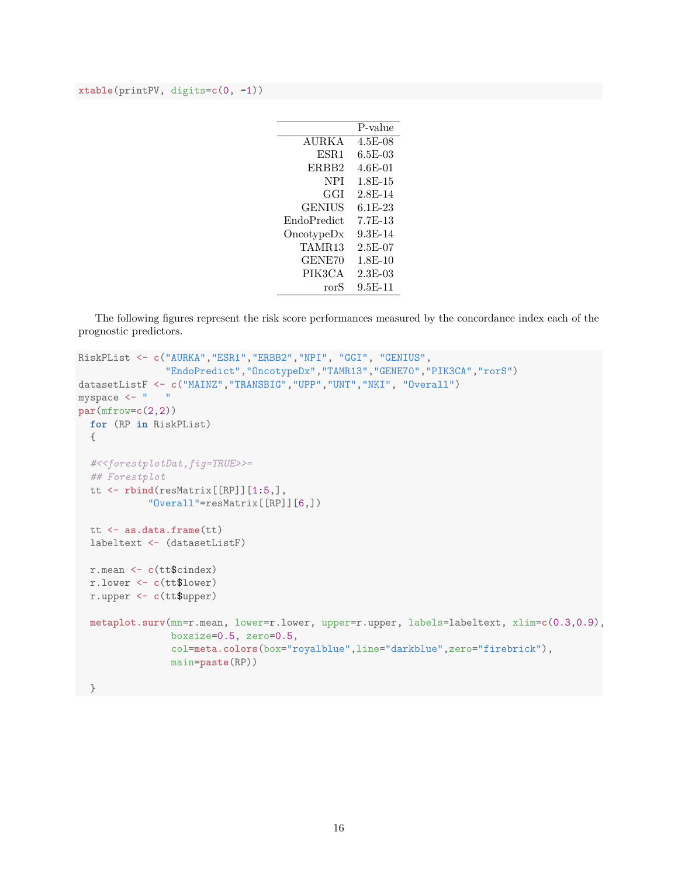**xtable**(printPV, digits=**c**(0, -1))

|                    | P-value     |
|--------------------|-------------|
| <b>AURKA</b>       | 4.5E-08     |
| ESR <sub>1</sub>   | 6.5E-03     |
| ERBB2              | 4.6E-01     |
| NPI                | $1.8E - 15$ |
| GGI                | 2.8E-14     |
| <b>GENIUS</b>      | $6.1E-23$   |
| <b>EndoPredict</b> | 7.7F-13     |
| Once typeDx        | 9.3F-14     |
| TAMR13             | $2.5E-07$   |
| GENE70             | $1.8E-10$   |
| PIK3CA             | $2.3E-0.3$  |
| rorS               | $9.5E-11$   |

The following figures represent the risk score performances measured by the concordance index each of the prognostic predictors.

```
RiskPList <- c("AURKA","ESR1","ERBB2","NPI", "GGI", "GENIUS",
              "EndoPredict","OncotypeDx","TAMR13","GENE70","PIK3CA","rorS")
datasetListF <- c("MAINZ","TRANSBIG","UPP","UNT","NKI", "Overall")
myspace <- " "
par(mfrow=c(2,2))
 for (RP in RiskPList)
  {
  #<<forestplotDat,fig=TRUE>>=
  ## Forestplot
  tt <- rbind(resMatrix[[RP]][1:5,],
           "Overall"=resMatrix[[RP]][6,])
  tt <- as.data.frame(tt)
  labeltext <- (datasetListF)
 r.mean <- c(tt$cindex)
 r.lower <- c(tt$lower)
 r.upper <- c(tt$upper)
 metaplot.surv(mn=r.mean, lower=r.lower, upper=r.upper, labels=labeltext, xlim=c(0.3,0.9),
                boxsize=0.5, zero=0.5,
                col=meta.colors(box="royalblue",line="darkblue",zero="firebrick"),
                main=paste(RP))
```
}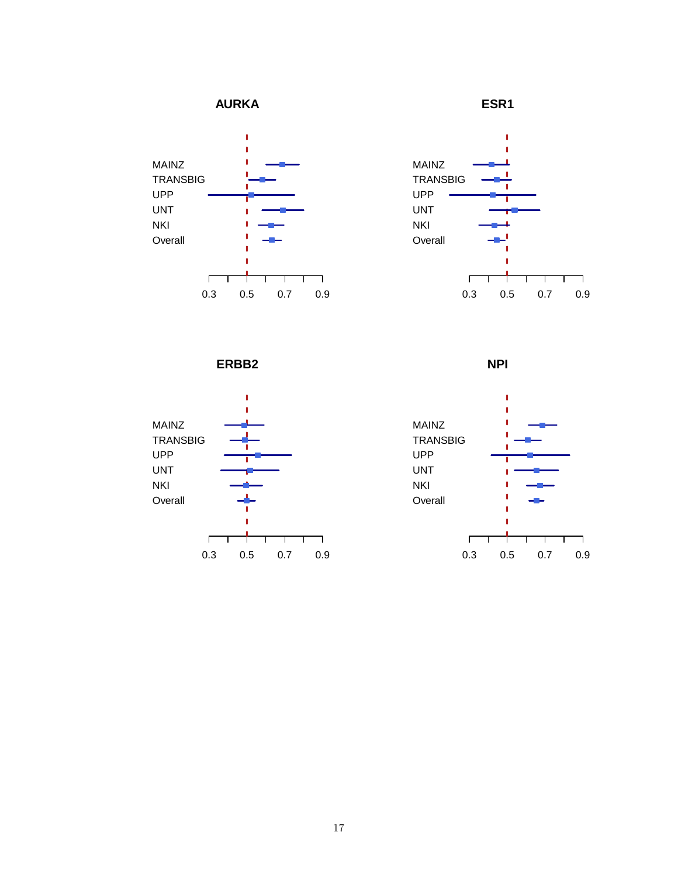



**ESR1**



**ERBB2**



**NPI**

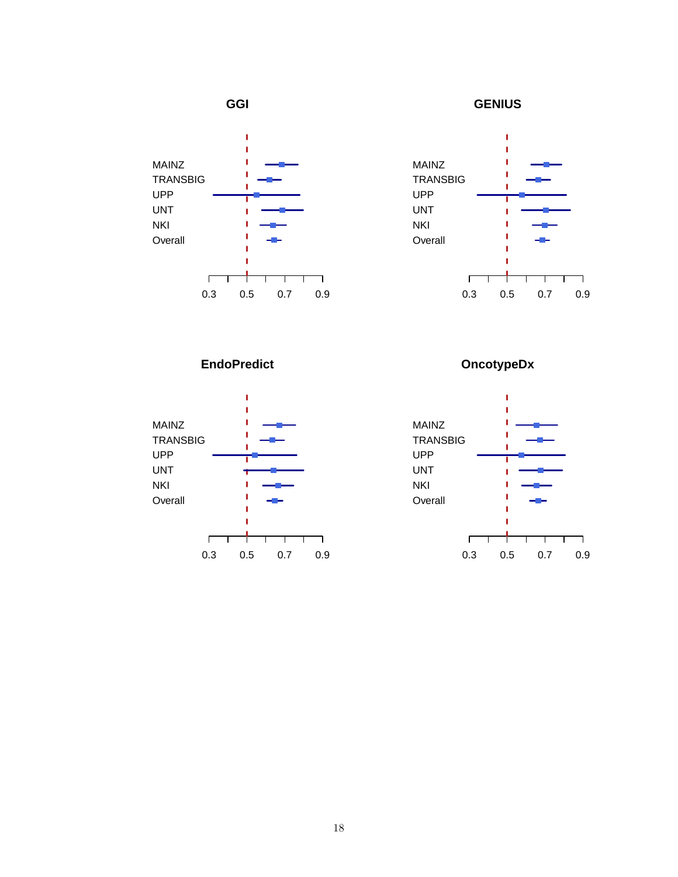

**GENIUS**



**EndoPredict**



**OncotypeDx**

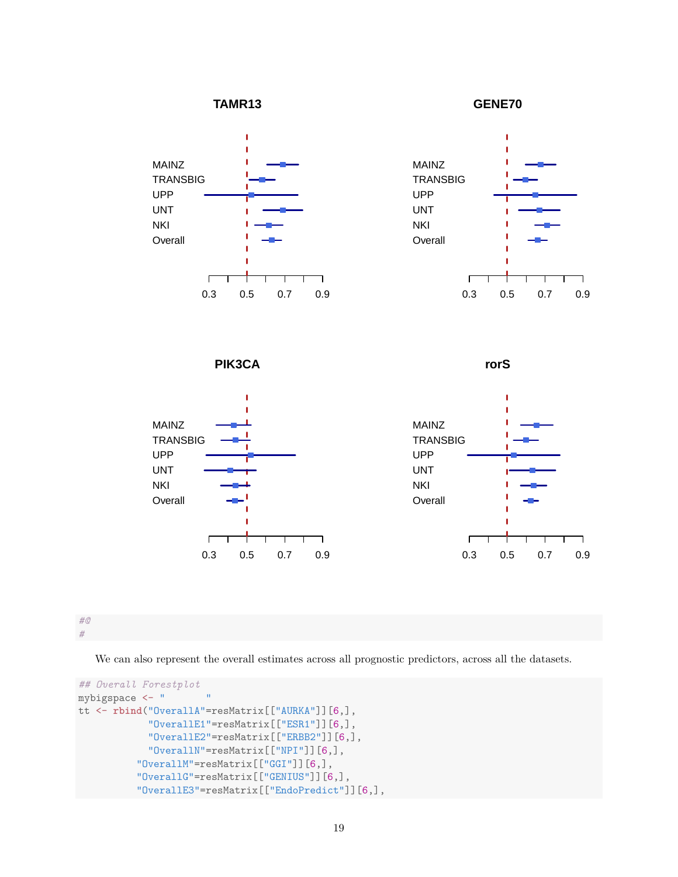

**GENE70**



# *#@*

*#*

We can also represent the overall estimates across all prognostic predictors, across all the datasets.

```
## Overall Forestplot
mybigspace <- " "
tt <- rbind("OverallA"=resMatrix[["AURKA"]][6,],
            "OverallE1"=resMatrix[["ESR1"]][6,],
            "OverallE2"=resMatrix[["ERBB2"]][6,],
            "OverallN"=resMatrix[["NPI"]][6,],
          "OverallM"=resMatrix[["GGI"]][6,],
          "OverallG"=resMatrix[["GENIUS"]][6,],
          "OverallE3"=resMatrix[["EndoPredict"]][6,],
```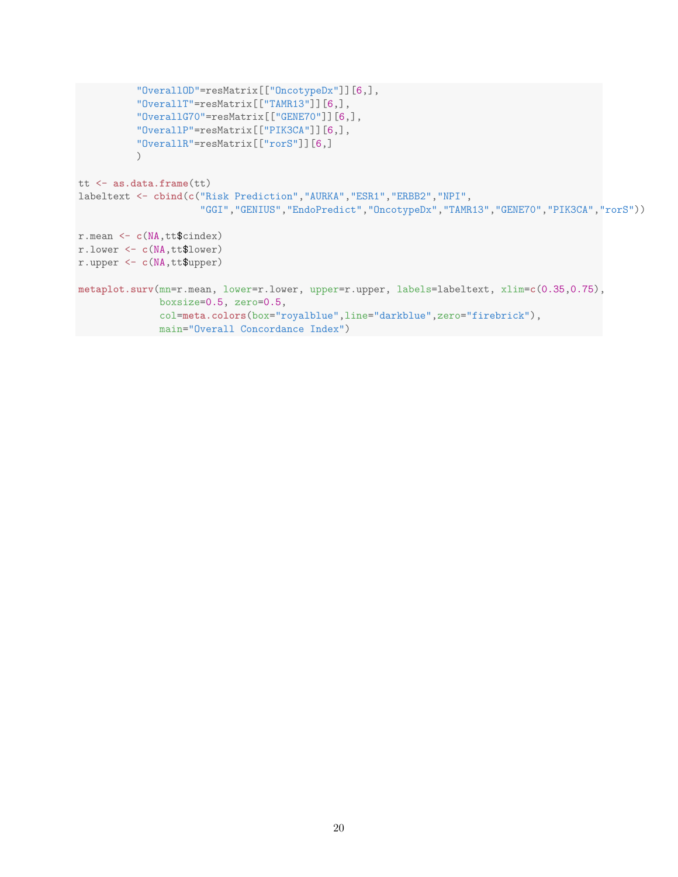```
"OverallOD"=resMatrix[["OncotypeDx"]][6,],
          "OverallT"=resMatrix[["TAMR13"]][6,],
          "OverallG70"=resMatrix[["GENE70"]][6,],
          "OverallP"=resMatrix[["PIK3CA"]][6,],
          "OverallR"=resMatrix[["rorS"]][6,]
          )tt <- as.data.frame(tt)
labeltext <- cbind(c("Risk Prediction","AURKA","ESR1","ERBB2","NPI",
                     "GGI","GENIUS","EndoPredict","OncotypeDx","TAMR13","GENE70","PIK3CA","rorS"))
r.mean <- c(NA,tt$cindex)
r.lower <- c(NA,tt$lower)
r.upper <- c(NA,tt$upper)
metaplot.surv(mn=r.mean, lower=r.lower, upper=r.upper, labels=labeltext, xlim=c(0.35,0.75),
              boxsize=0.5, zero=0.5,
              col=meta.colors(box="royalblue",line="darkblue",zero="firebrick"),
              main="Overall Concordance Index")
```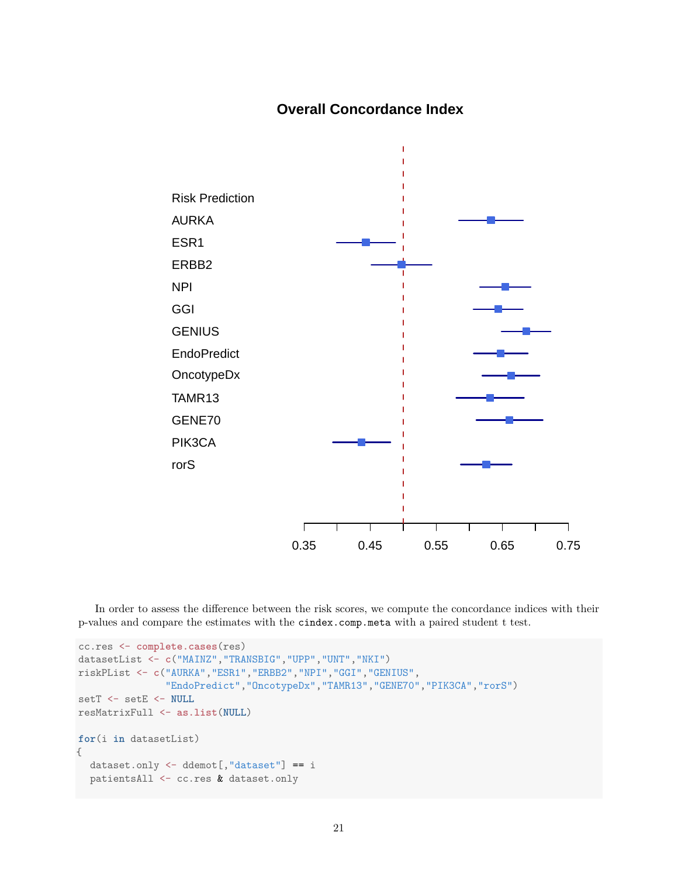# **Overall Concordance Index**



In order to assess the difference between the risk scores, we compute the concordance indices with their p-values and compare the estimates with the cindex.comp.meta with a paired student t test.

```
cc.res <- complete.cases(res)
datasetList <- c("MAINZ","TRANSBIG","UPP","UNT","NKI")
riskPList <- c("AURKA","ESR1","ERBB2","NPI","GGI","GENIUS",
               "EndoPredict","OncotypeDx","TAMR13","GENE70","PIK3CA","rorS")
setT <- setE <- NULL
resMatrixFull <- as.list(NULL)
for(i in datasetList)
{
  dataset.only <- ddemot[,"dataset"] == i
  patientsAll <- cc.res & dataset.only
```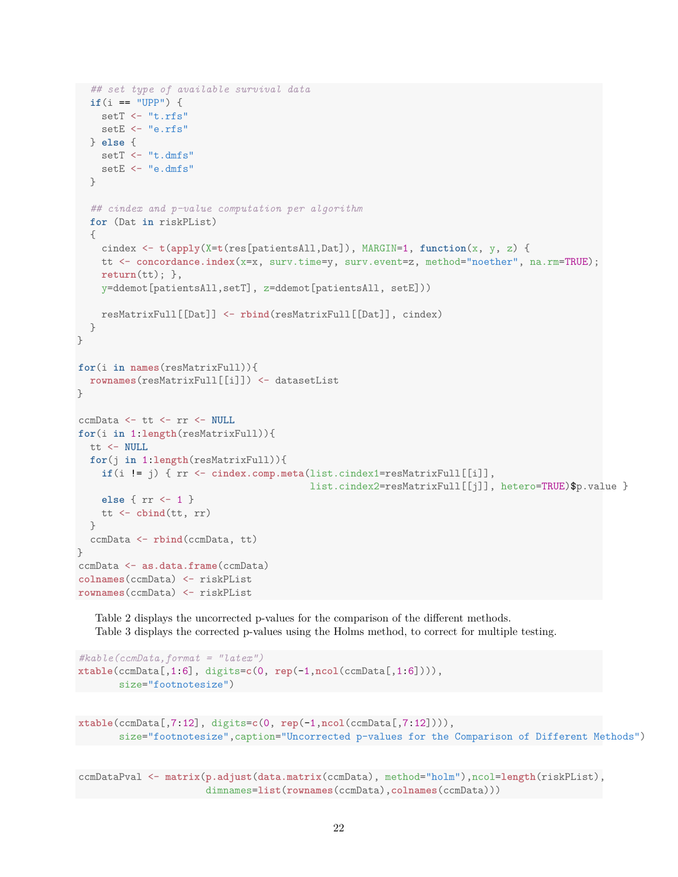```
## set type of available survival data
  if(i == "UPP") {
    setT <- "t.rfs"
    setE <- "e.rfs"
  } else {
    setT \leftarrow "t.dmfs"setE <- "e.dmfs"
  }
  ## cindex and p-value computation per algorithm
  for (Dat in riskPList)
  {
    cindex <- t(apply(X=t(res[patientsAll,Dat]), MARGIN=1, function(x, y, z) {
    tt <- concordance.index(x=x, surv.time=y, surv.event=z, method="noether", na.rm=TRUE);
    return(tt); },
    y=ddemot[patientsAll,setT], z=ddemot[patientsAll, setE]))
    resMatrixFull[[Dat]] <- rbind(resMatrixFull[[Dat]], cindex)
  }
}
for(i in names(resMatrixFull)){
  rownames(resMatrixFull[[i]]) <- datasetList
}
ccmData <- tt <- rr <- NULL
for(i in 1:length(resMatrixFull)){
 tt <- NULL
  for(j in 1:length(resMatrixFull)){
    if(i != j) { rr <- cindex.comp.meta(list.cindex1=resMatrixFull[[i]],
                                         list.cindex2=resMatrixFull[[j]], hetero=TRUE)$p.value }
    else { rr <- 1 }
    tt <- cbind(tt, rr)
  }
  ccmData <- rbind(ccmData, tt)
}
ccmData <- as.data.frame(ccmData)
colnames(ccmData) <- riskPList
rownames(ccmData) <- riskPList
```
Table 2 displays the uncorrected p-values for the comparison of the different methods. Table 3 displays the corrected p-values using the Holms method, to correct for multiple testing.

```
#kable(ccmData,format = "latex")
xtable(ccmData[,1:6], digits=c(0, rep(-1,ncol(ccmData[,1:6]))),
      size="footnotesize")
```

```
xtable(ccmData[,7:12], digits=c(0, rep(-1,ncol(ccmData[,7:12]))),
       size="footnotesize",caption="Uncorrected p-values for the Comparison of Different Methods")
```
ccmDataPval <- **matrix**(**p.adjust**(**data.matrix**(ccmData), method="holm"),ncol=**length**(riskPList), dimnames=**list**(**rownames**(ccmData),**colnames**(ccmData)))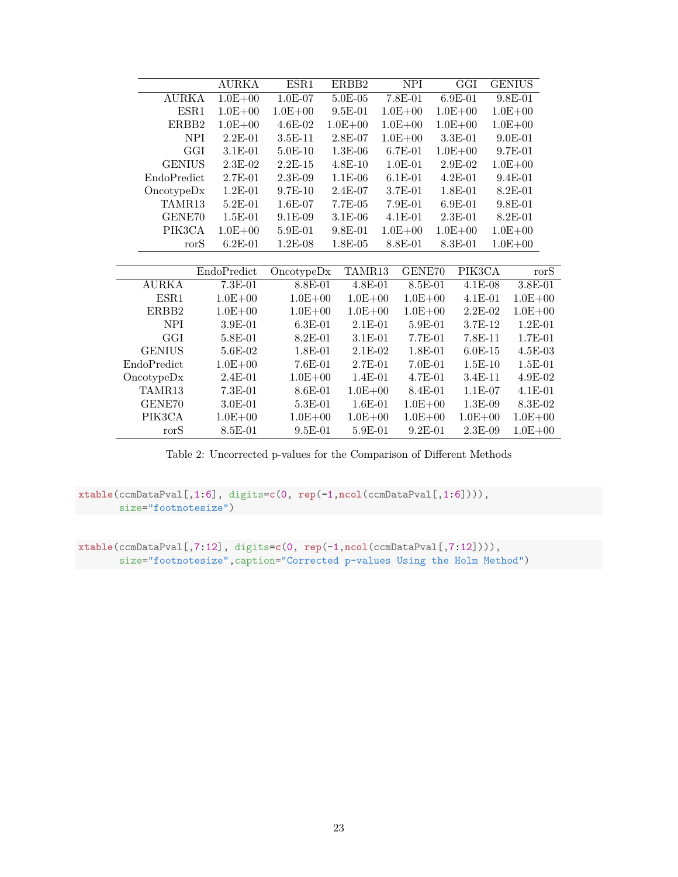|               | AURKA       | ESR1        | ERBB2       | NPI         | <b>GGI</b>  |             | <b>GENIUS</b> |
|---------------|-------------|-------------|-------------|-------------|-------------|-------------|---------------|
| <b>AURKA</b>  | $1.0E + 00$ | $1.0E-07$   | $5.0E-05$   | $7.8E-01$   | $6.9E-01$   |             | 9.8E-01       |
| ESR1          | $1.0E + 00$ | $1.0E + 00$ | $9.5E-01$   | $1.0E + 00$ | $1.0E + 00$ |             | $1.0E + 00$   |
| ERBB2         | $1.0E + 00$ | $4.6E-02$   | $1.0E + 00$ | $1.0E + 00$ | $1.0E + 00$ |             | $1.0E + 00$   |
| <b>NPI</b>    | $2.2E-01$   | 3.5E-11     | 2.8E-07     | $1.0E + 00$ | $3.3E-01$   |             | $9.0E-01$     |
| GGI           | 3.1E-01     | 5.0E-10     | $1.3E-06$   | 6.7E-01     | $1.0E + 00$ |             | 9.7E-01       |
| <b>GENIUS</b> | $2.3E-02$   | $2.2E-15$   | $4.8E - 10$ | $1.0E-01$   | $2.9E-02$   |             | $1.0E + 00$   |
| EndoPredict   | 2.7E-01     | $2.3E-0.9$  | $1.1E-06$   | $6.1E-01$   | $4.2E-01$   |             | 9.4E-01       |
| Once typeDx   | $1.2E-01$   | 9.7E-10     | 2.4E-07     | 3.7E-01     | 1.8E-01     |             | 8.2E-01       |
| TAMR13        | 5.2E-01     | $1.6E-07$   | 7.7E-05     | 7.9E-01     | $6.9E-01$   |             | 9.8E-01       |
| GENE70        | $1.5E-01$   | 9.1E-09     | $3.1E-06$   | 4.1E-01     | $2.3E-01$   |             | $8.2E-01$     |
| PIK3CA        | $1.0E + 00$ | 5.9E-01     | $9.8E - 01$ | $1.0E + 00$ | $1.0E + 00$ |             | $1.0E + 00$   |
| rorS          | $6.2E-01$   | $1.2E-08$   | $1.8E-05$   | 8.8E-01     | $8.3E-01$   |             | $1.0E + 00$   |
|               |             |             |             |             |             |             |               |
|               | EndoPredict | OncotypeDx  | TAMR13      | GENE70      |             | PIK3CA      | $\text{ror}S$ |
| <b>AURKA</b>  | $7.3E-01$   | 8.8E-01     | $4.8E-01$   |             | $8.5E-01$   | $4.1E-08$   | $3.8E-01$     |
| ESR1          | $1.0E + 00$ | $1.0E + 00$ | $1.0E + 00$ |             | $1.0E + 00$ | $4.1E-01$   | $1.0E + 00$   |
| ERBB2         | $1.0E + 00$ | $1.0E + 00$ | $1.0E + 00$ |             | $1.0E + 00$ | $2.2E-02$   | $1.0E + 00$   |
| <b>NPI</b>    | $3.9E-01$   | $6.3E-01$   | $2.1E-01$   |             | $5.9E-01$   | $3.7E-12$   | $1.2E-01$     |
| GGI           | 5.8E-01     | 8.2E-01     | $3.1E-01$   |             | 7.7E-01     | 7.8E-11     | 1.7E-01       |
| <b>GENIUS</b> | 5.6E-02     | 1.8E-01     | $2.1E-02$   |             | 1.8E-01     | $6.0E-15$   | $4.5E-03$     |
| EndoPredict   | $1.0E + 00$ | 7.6E-01     | 2.7E-01     |             | 7.0E-01     | $1.5E-10$   | $1.5E-01$     |
| OncotypeDx    | 2.4E-01     | $1.0E + 00$ | 1.4E-01     |             | 4.7E-01     | 3.4E-11     | 4.9E-02       |
| TAMR13        | 7.3E-01     | 8.6E-01     | $1.0E + 00$ |             | 8.4E-01     | $1.1E-07$   | 4.1E-01       |
| GENE70        | 3.0E-01     | 5.3E-01     | $1.6E-01$   |             | $1.0E + 00$ | 1.3E-09     | 8.3E-02       |
| PIK3CA        | $1.0E + 00$ | $1.0E + 00$ | $1.0E + 00$ |             | $1.0E + 00$ | $1.0E + 00$ | $1.0E + 00$   |
| rorS          | 8.5E-01     | $9.5E-01$   | 5.9E-01     |             | $9.2E-01$   | $2.3E-09$   | $1.0E + 00$   |

Table 2: Uncorrected p-values for the Comparison of Different Methods

**xtable**(ccmDataPval[,1:6], digits=**c**(0, **rep**(-1,**ncol**(ccmDataPval[,1:6]))), size="footnotesize")

 $\overline{\phantom{a}}$ 

**xtable**(ccmDataPval[,7:12], digits=**c**(0, **rep**(-1,**ncol**(ccmDataPval[,7:12]))), size="footnotesize",caption="Corrected p-values Using the Holm Method")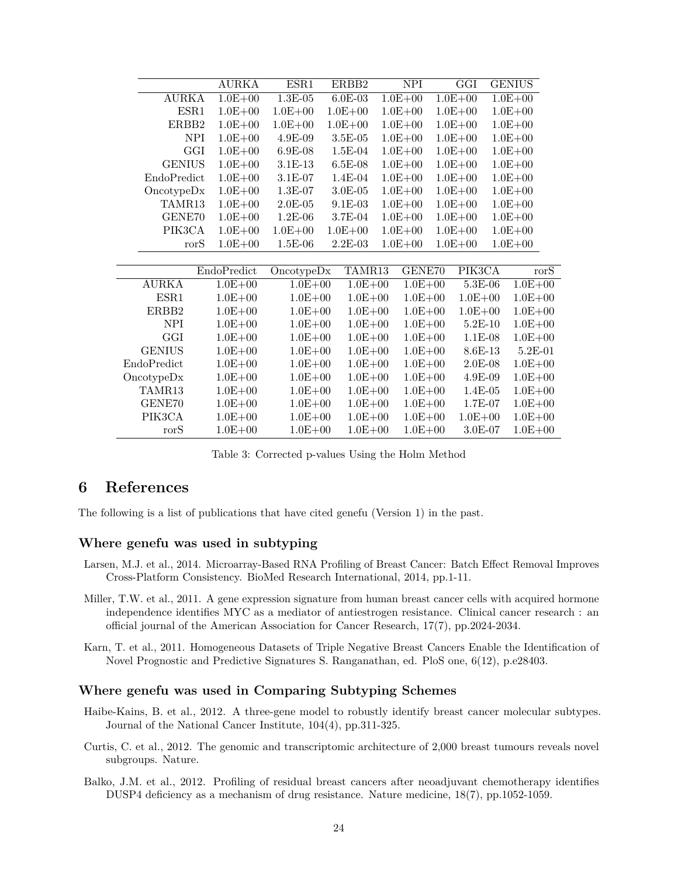|                  | AURKA       | ESR1        | ERBB2       | <b>NPI</b>  | GGI         |             | <b>GENIUS</b> |
|------------------|-------------|-------------|-------------|-------------|-------------|-------------|---------------|
| <b>AURKA</b>     | $1.0E + 00$ | $1.3E-05$   | $6.0E-03$   | $1.0E + 00$ | $1.0E + 00$ |             | $1.0E + 00$   |
| ESR1             | $1.0E + 00$ | $1.0E + 00$ | $1.0E + 00$ | $1.0E + 00$ | $1.0E + 00$ |             | $1.0E + 00$   |
| ERBB2            | $1.0E + 00$ | $1.0E + 00$ | $1.0E + 00$ | $1.0E + 00$ | $1.0E + 00$ |             | $1.0E + 00$   |
| <b>NPI</b>       | $1.0E + 00$ | $4.9E-09$   | $3.5E-05$   | $1.0E + 00$ | $1.0E + 00$ |             | $1.0E + 00$   |
| GGI              | $1.0E + 00$ | $6.9E-08$   | $1.5E-04$   | $1.0E + 00$ | $1.0E + 00$ |             | $1.0E + 00$   |
| <b>GENIUS</b>    | $1.0E + 00$ | $3.1E-13$   | $6.5E-08$   | $1.0E + 00$ | $1.0E + 00$ |             | $1.0E + 00$   |
| EndoPredict      | $1.0E + 00$ | $3.1E-07$   | $1.4E-04$   | $1.0E + 00$ | $1.0E + 00$ |             | $1.0E + 00$   |
| Once typeDx      | $1.0E + 00$ | 1.3E-07     | 3.0E-05     | $1.0E + 00$ | $1.0E + 00$ |             | $1.0E + 00$   |
| TAMR13           | $1.0E + 00$ | $2.0E-05$   | $9.1E-03$   | $1.0E + 00$ | $1.0E + 00$ |             | $1.0E + 00$   |
| GENE70           | $1.0E + 00$ | $1.2E-06$   | $3.7E-04$   | $1.0E + 00$ | $1.0E + 00$ |             | $1.0E + 00$   |
| PIK3CA           | $1.0E + 00$ | $1.0E + 00$ | $1.0E + 00$ | $1.0E + 00$ | $1.0E + 00$ |             | $1.0E + 00$   |
| rorS             | $1.0E + 00$ | 1.5E-06     | $2.2E-03$   | $1.0E + 00$ | $1.0E + 00$ |             | $1.0E + 00$   |
|                  |             |             |             |             |             |             |               |
|                  | EndoPredict | OncotypeDx  | TAMR13      | GENE70      | PIK3CA      |             | $\text{rorS}$ |
| <b>AURKA</b>     | $1.0E + 00$ | $1.0E + 00$ | $1.0E + 00$ | $1.0E + 00$ |             | 5.3E-06     | $1.0E + 00$   |
| ESR1             | $1.0E + 00$ | $1.0E + 00$ | $1.0E + 00$ | $1.0E + 00$ |             | $1.0E + 00$ | $1.0E + 00$   |
| ERBB2            | $1.0E + 00$ | $1.0E + 00$ | $1.0E + 00$ | $1.0E + 00$ |             | $1.0E + 00$ | $1.0E + 00$   |
| <b>NPI</b>       | $1.0E + 00$ | $1.0E + 00$ | $1.0E + 00$ | $1.0E + 00$ |             | $5.2E-10$   | $1.0E + 00$   |
| GGI              | $1.0E + 00$ | $1.0E + 00$ | $1.0E + 00$ | $1.0E + 00$ |             | $1.1E-08$   | $1.0E + 00$   |
| <b>GENIUS</b>    | $1.0E + 00$ | $1.0E + 00$ | $1.0E + 00$ | $1.0E + 00$ |             | $8.6E-13$   | $5.2E-01$     |
| EndoPredict      | $1.0E + 00$ | $1.0E + 00$ | $1.0E + 00$ | $1.0E + 00$ |             | $2.0E-08$   | $1.0E + 00$   |
| Once <i>by</i> p | $1.0E + 00$ | $1.0E + 00$ | $1.0E + 00$ | $1.0E + 00$ |             | 4.9E-09     | $1.0E + 00$   |
| TAMR13           | $1.0E + 00$ | $1.0E + 00$ | $1.0E + 00$ | $1.0E + 00$ |             | $1.4E-05$   | $1.0E + 00$   |
| GENE70           | $1.0E + 00$ | $1.0E + 00$ | $1.0E + 00$ | $1.0E + 00$ |             | 1.7E-07     | $1.0E + 00$   |
| PIK3CA           | $1.0E + 00$ | $1.0E + 00$ | $1.0E + 00$ | $1.0E + 00$ |             | $1.0E + 00$ | $1.0E + 00$   |
| rorS             | $1.0E + 00$ | $1.0E + 00$ | $1.0E + 00$ | $1.0E + 00$ |             | $3.0E-07$   | $1.0E + 00$   |

Table 3: Corrected p-values Using the Holm Method

## **6 References**

The following is a list of publications that have cited genefu (Version 1) in the past.

### **Where genefu was used in subtyping**

- Larsen, M.J. et al., 2014. Microarray-Based RNA Profiling of Breast Cancer: Batch Effect Removal Improves Cross-Platform Consistency. BioMed Research International, 2014, pp.1-11.
- Miller, T.W. et al., 2011. A gene expression signature from human breast cancer cells with acquired hormone independence identifies MYC as a mediator of antiestrogen resistance. Clinical cancer research : an official journal of the American Association for Cancer Research, 17(7), pp.2024-2034.
- Karn, T. et al., 2011. Homogeneous Datasets of Triple Negative Breast Cancers Enable the Identification of Novel Prognostic and Predictive Signatures S. Ranganathan, ed. PloS one, 6(12), p.e28403.

### **Where genefu was used in Comparing Subtyping Schemes**

- Haibe-Kains, B. et al., 2012. A three-gene model to robustly identify breast cancer molecular subtypes. Journal of the National Cancer Institute, 104(4), pp.311-325.
- Curtis, C. et al., 2012. The genomic and transcriptomic architecture of 2,000 breast tumours reveals novel subgroups. Nature.
- Balko, J.M. et al., 2012. Profiling of residual breast cancers after neoadjuvant chemotherapy identifies DUSP4 deficiency as a mechanism of drug resistance. Nature medicine, 18(7), pp.1052-1059.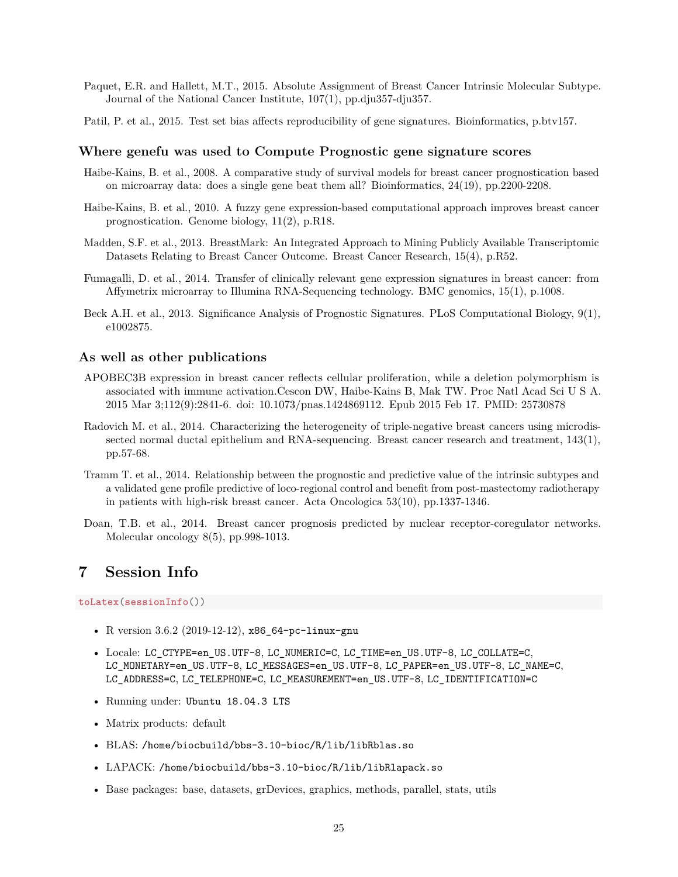- Paquet, E.R. and Hallett, M.T., 2015. Absolute Assignment of Breast Cancer Intrinsic Molecular Subtype. Journal of the National Cancer Institute, 107(1), pp.dju357-dju357.
- Patil, P. et al., 2015. Test set bias affects reproducibility of gene signatures. Bioinformatics, p.btv157.

#### **Where genefu was used to Compute Prognostic gene signature scores**

- Haibe-Kains, B. et al., 2008. A comparative study of survival models for breast cancer prognostication based on microarray data: does a single gene beat them all? Bioinformatics, 24(19), pp.2200-2208.
- Haibe-Kains, B. et al., 2010. A fuzzy gene expression-based computational approach improves breast cancer prognostication. Genome biology, 11(2), p.R18.
- Madden, S.F. et al., 2013. BreastMark: An Integrated Approach to Mining Publicly Available Transcriptomic Datasets Relating to Breast Cancer Outcome. Breast Cancer Research, 15(4), p.R52.
- Fumagalli, D. et al., 2014. Transfer of clinically relevant gene expression signatures in breast cancer: from Affymetrix microarray to Illumina RNA-Sequencing technology. BMC genomics, 15(1), p.1008.
- Beck A.H. et al., 2013. Significance Analysis of Prognostic Signatures. PLoS Computational Biology, 9(1), e1002875.

### **As well as other publications**

- APOBEC3B expression in breast cancer reflects cellular proliferation, while a deletion polymorphism is associated with immune activation.Cescon DW, Haibe-Kains B, Mak TW. Proc Natl Acad Sci U S A. 2015 Mar 3;112(9):2841-6. doi: 10.1073/pnas.1424869112. Epub 2015 Feb 17. PMID: 25730878
- Radovich M. et al., 2014. Characterizing the heterogeneity of triple-negative breast cancers using microdissected normal ductal epithelium and RNA-sequencing. Breast cancer research and treatment, 143(1), pp.57-68.
- Tramm T. et al., 2014. Relationship between the prognostic and predictive value of the intrinsic subtypes and a validated gene profile predictive of loco-regional control and benefit from post-mastectomy radiotherapy in patients with high-risk breast cancer. Acta Oncologica 53(10), pp.1337-1346.
- Doan, T.B. et al., 2014. Breast cancer prognosis predicted by nuclear receptor-coregulator networks. Molecular oncology 8(5), pp.998-1013.

## **7 Session Info**

**toLatex**(**sessionInfo**())

- R version 3.6.2 (2019-12-12), x86\_64-pc-linux-gnu
- Locale: LC\_CTYPE=en\_US.UTF-8, LC\_NUMERIC=C, LC\_TIME=en\_US.UTF-8, LC\_COLLATE=C, LC\_MONETARY=en\_US.UTF-8, LC\_MESSAGES=en\_US.UTF-8, LC\_PAPER=en\_US.UTF-8, LC\_NAME=C, LC\_ADDRESS=C, LC\_TELEPHONE=C, LC\_MEASUREMENT=en\_US.UTF-8, LC\_IDENTIFICATION=C
- Running under: Ubuntu 18.04.3 LTS
- Matrix products: default
- BLAS: /home/biocbuild/bbs-3.10-bioc/R/lib/libRblas.so
- LAPACK: /home/biocbuild/bbs-3.10-bioc/R/lib/libRlapack.so
- Base packages: base, datasets, grDevices, graphics, methods, parallel, stats, utils